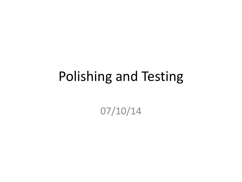### Polishing and Testing

07/10/14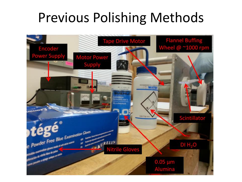## Previous Polishing Methods

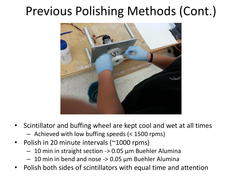#### Previous Polishing Methods (Cont.)



- Scintillator and buffing wheel are kept cool and wet at all times
	- Achieved with low buffing speeds (< 1500 rpms)
- Polish in 20 minute intervals (~1000 rpms)
	- 10 min in straight section -> 0.05 μm Buehler Alumina
	- 10 min in bend and nose  $\rightarrow$  0.05  $\mu$ m Buehler Alumina
- Polish both sides of scintillators with equal time and attention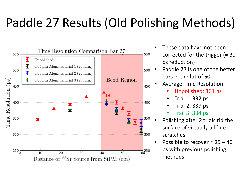## Paddle 27 Results (Old Polishing Methods)



- These data have not been corrected for the trigger ( $\approx 30$ ps reduction)
- Paddle 27 is one of the better bars in the lot of 50
- Average Time Resolution
	- Unpolished: 361 ps
	- Trial 1: 332 ps
	- Trial 2: 339 ps
	- Trail 3: 334 ps
- Polishing after 2 trials rid the surface of virtually all fine scratches
- Possible to recover  $\approx 25 40$ ps with previous polishing methods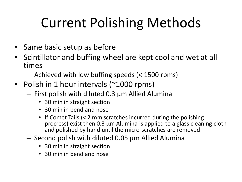# Current Polishing Methods

- Same basic setup as before
- Scintillator and buffing wheel are kept cool and wet at all times
	- Achieved with low buffing speeds (< 1500 rpms)
- Polish in 1 hour intervals (~1000 rpms)
	- First polish with diluted 0.3 μm Allied Alumina
		- 30 min in straight section
		- 30 min in bend and nose
		- If Comet Tails (< 2 mm scratches incurred during the polishing procress) exist then 0.3 μm Alumina is applied to a glass cleaning cloth and polished by hand until the micro-scratches are removed
	- Second polish with diluted 0.05 μm Allied Alumina
		- 30 min in straight section
		- 30 min in bend and nose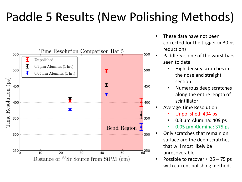## Paddle 5 Results (New Polishing Methods)



- These data have not been corrected for the trigger ( $\approx$  30 ps reduction)
- Paddle 5 is one of the worst bars seen to date
	- High density scratches in the nose and straight section
	- Numerous deep scratches along the entire length of scintillator
- Average Time Resolution
	- Unpolished: 434 ps
	- 0.3 μm Alumina: 409 ps
	- 0.05 μm Alumina: 375 ps
- Only scratches that remain on surface are the deep scratches that will most likely be unrecoverable
- Possible to recover  $\approx$  25 75 ps with current polishing methods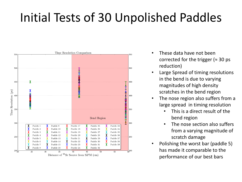### Initial Tests of 30 Unpolished Paddles



- These data have not been corrected for the trigger ( $\approx$  30 ps reduction)
- Large Spread of timing resolutions in the bend is due to varying magnitudes of high density scratches in the bend region
- The nose region also suffers from a large spread in timing resolution
	- This is a direct result of the bend region
	- The nose section also suffers from a varying magnitude of scratch damage
- Polishing the worst bar (paddle 5) has made it comparable to the performance of our best bars